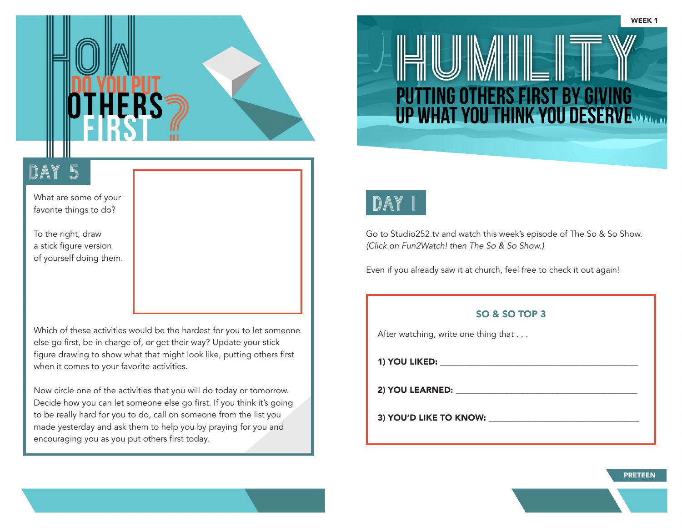

What are some of your favorite things to do?

To the right, draw a stick figure version of yourself doing them.

Which of these activities would be the hardest for you to let someone else go first, be in charge of, or get their way? Update your stick figure drawing to show what that might look like, putting others first when it comes to your favorite activities.

Now circle one of the activities that you will do today or tomorrow. Decide how you can let someone else go first. If you think it's going to be really hard for you to do, call on someone from the list you made yesterday and ask them to help you by praying for you and encouraging you as you put others first today.



Go to Studio252.tv and watch this week's episode of The So & So Show. *(Click on Fun2Watch! then The So & So Show.)*

Even if you already saw it at church, feel free to check it out again!

**PUTTING OTHERS FIRST BY G** 

**UP WHAT YOU THINK YOU DESERVERTING** 

#### SO & SO TOP 3

After watching, write one thing that . . .

1) YOU LIKED:  $\blacksquare$ 

2) YOU LEARNED: \_\_\_\_\_\_\_\_\_\_\_\_\_\_\_\_\_\_\_\_\_\_\_\_\_\_\_\_\_\_\_\_\_\_\_\_\_\_\_\_\_\_\_

3) YOU'D LIKE TO KNOW: \_\_\_\_\_\_\_\_\_\_\_\_\_\_\_\_\_\_\_\_\_\_\_\_\_\_\_\_\_\_\_\_\_\_\_

PRETEEN

WEEK 1